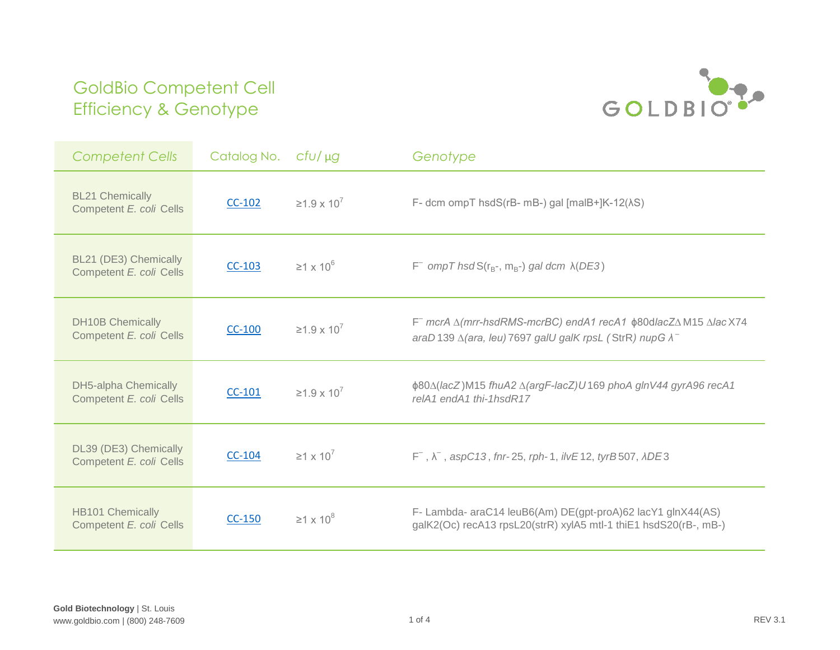

| <b>Competent Cells</b>                                 | Catalog No. | $CfU/\mu g$                | Genotype                                                                                                                                   |
|--------------------------------------------------------|-------------|----------------------------|--------------------------------------------------------------------------------------------------------------------------------------------|
| <b>BL21 Chemically</b><br>Competent E. coli Cells      | $CC-102$    | $≥1.9 \times 10^7$         | F- dcm ompT hsdS( $rB-$ mB-) gal [malB+] $K-12(\lambda S)$ ]                                                                               |
| BL21 (DE3) Chemically<br>Competent E. coli Cells       | $CC-103$    | $\geq$ 1 x 10 <sup>6</sup> | $F^-$ ompT hsdS( $r_B$ -, m <sub>B</sub> -) gal dcm $\lambda$ (DE3)                                                                        |
| <b>DH10B Chemically</b><br>Competent E. coli Cells     | $CC-100$    | $≥1.9 \times 10^7$         | F mcrA Δ(mrr-hsdRMS-mcrBC) endA1 recA1 φ80dlacZΔM15 ΔlacX74<br>araD 139 $\triangle$ (ara, leu) 7697 galU galK rpsL (StrR) nupG $\lambda^-$ |
| <b>DH5-alpha Chemically</b><br>Competent E. coli Cells | $CC-101$    | $≥1.9 \times 10^7$         | φ80Δ(lacZ)M15 fhuA2 Δ(argF-lacZ)U169 phoA glnV44 gyrA96 recA1<br>relA1 endA1 thi-1hsdR17                                                   |
| DL39 (DE3) Chemically<br>Competent E. coli Cells       | $CC-104$    | $\geq$ 1 x 10 <sup>7</sup> | $F^{-}$ , $\lambda^{-}$ , aspC13, fnr-25, rph-1, ilvE12, tyrB507, $ADE3$                                                                   |
| <b>HB101 Chemically</b><br>Competent E. coli Cells     | $CC-150$    | $\geq$ 1 x 10 <sup>8</sup> | F- Lambda- araC14 leuB6(Am) DE(gpt-proA)62 lacY1 glnX44(AS)<br>galK2(Oc) recA13 rpsL20(strR) xylA5 mtl-1 thiE1 hsdS20(rB-, mB-)            |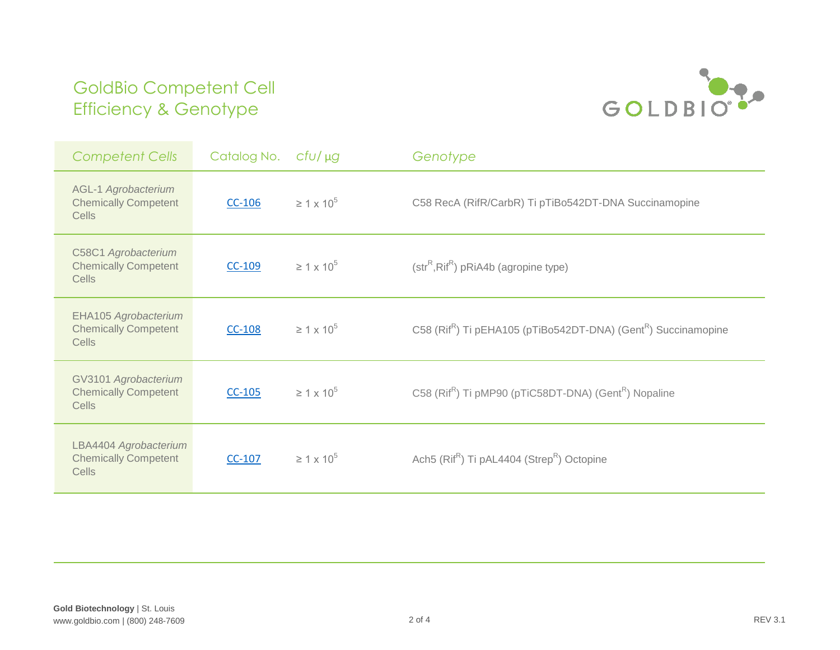

| <b>Competent Cells</b>                                             | Catalog No. | $CfU/\mu g$          | Genotype                                                                               |
|--------------------------------------------------------------------|-------------|----------------------|----------------------------------------------------------------------------------------|
| <b>AGL-1 Agrobacterium</b><br><b>Chemically Competent</b><br>Cells | $CC-106$    | $\geq 1 \times 10^5$ | C58 RecA (RifR/CarbR) Ti pTiBo542DT-DNA Succinamopine                                  |
| C58C1 Agrobacterium<br><b>Chemically Competent</b><br>Cells        | $CC-109$    | $\geq 1 \times 10^5$ | $(strR, RifR)$ pRiA4b (agropine type)                                                  |
| EHA105 Agrobacterium<br><b>Chemically Competent</b><br>Cells       | $CC-108$    | $\geq 1 \times 10^5$ | C58 (Rif <sup>R</sup> ) Ti pEHA105 (pTiBo542DT-DNA) (Gent <sup>R</sup> ) Succinamopine |
| GV3101 Agrobacterium<br><b>Chemically Competent</b><br>Cells       | $CC-105$    | $\geq 1 \times 10^5$ | C58 (Rif <sup>R</sup> ) Ti pMP90 (pTiC58DT-DNA) (Gent <sup>R</sup> ) Nopaline          |
| LBA4404 Agrobacterium<br><b>Chemically Competent</b><br>Cells      | $CC-107$    | $\geq 1 \times 10^5$ | Ach5 (Rif <sup>R</sup> ) Ti pAL4404 (Strep <sup>R</sup> ) Octopine                     |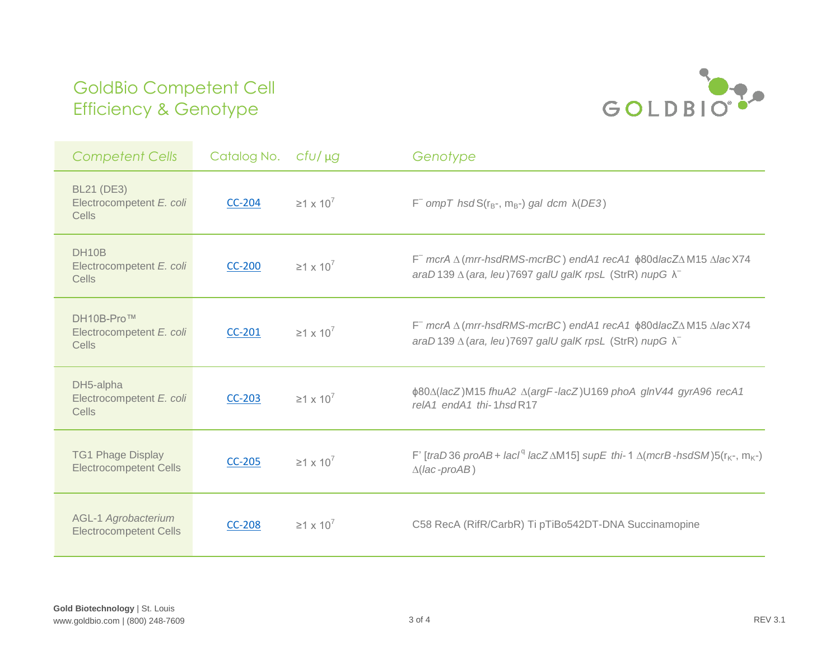

| <b>Competent Cells</b>                                      | Catalog No.   | $CfU/\mu g$                | Genotype                                                                                                                                                                             |
|-------------------------------------------------------------|---------------|----------------------------|--------------------------------------------------------------------------------------------------------------------------------------------------------------------------------------|
| <b>BL21 (DE3)</b><br>Electrocompetent E. coli<br>Cells      | <b>CC-204</b> | $\geq$ 1 x 10 <sup>7</sup> | $F^-$ ompT hsdS( $r_B$ -, m <sub>B</sub> -) gal dcm $\lambda$ (DE3)                                                                                                                  |
| DH10B<br>Electrocompetent E. coli<br>Cells                  | <b>CC-200</b> | $\geq$ 1 x 10 <sup>7</sup> | $F$ mcrA $\triangle$ (mrr-hsdRMS-mcrBC) endA1 recA1 $\phi$ 80dlacZ $\triangle$ M15 $\triangle$ lacX74<br>araD 139 $\triangle$ (ara, leu) 7697 galU galK rpsL (StrR) nupG $\lambda^-$ |
| DH10B-Pro™<br>Electrocompetent E. coli<br>Cells             | $CC-201$      | $\geq 1 \times 10^7$       | F mcrA ∆ (mrr-hsdRMS-mcrBC) endA1 recA1 $\phi$ 80dlacZ∆M15 ∆lacX74<br>araD 139 $\triangle$ (ara, leu) 7697 galU galK rpsL (StrR) nupG $\lambda^-$                                    |
| DH5-alpha<br>Electrocompetent E. coli<br>Cells              | $CC-203$      | $\geq 1 \times 10^7$       | φ80Δ(lacZ)M15 fhuA2 Δ(argF-lacZ)U169 phoA glnV44 gyrA96 recA1<br>relA1 endA1 thi-1hsdR17                                                                                             |
| <b>TG1 Phage Display</b><br><b>Electrocompetent Cells</b>   | $CC-205$      | $\geq$ 1 x 10 <sup>7</sup> | F' [traD36 proAB+ lacl <sup>q</sup> lacZ $\triangle M$ 15] supE thi-1 $\triangle$ (mcrB-hsdSM)5(r <sub>K</sub> -, m <sub>K</sub> -)<br>$\triangle$ (lac-proAB)                       |
| <b>AGL-1 Agrobacterium</b><br><b>Electrocompetent Cells</b> | <b>CC-208</b> | $\geq 1 \times 10^7$       | C58 RecA (RifR/CarbR) Ti pTiBo542DT-DNA Succinamopine                                                                                                                                |